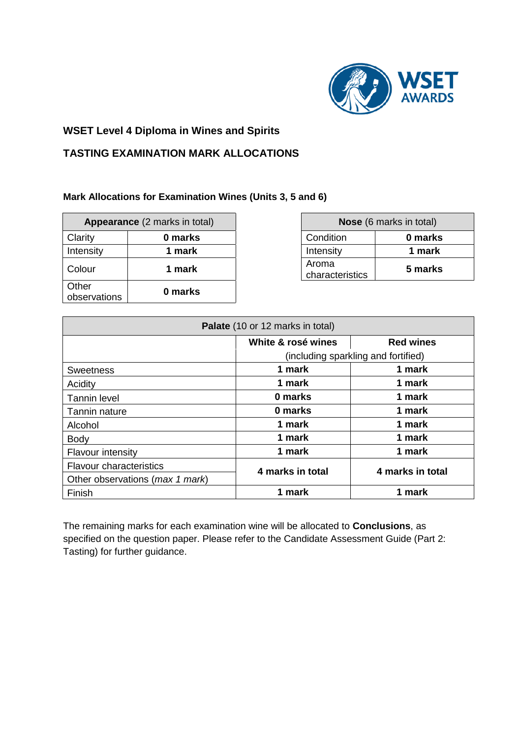

## **WSET Level 4 Diploma in Wines and Spirits**

## **TASTING EXAMINATION MARK ALLOCATIONS**

## **Mark Allocations for Examination Wines (Units 3, 5 and 6)**

| Appearance (2 marks in total) |         | <b>Nose</b> (6 marks in total) |         |
|-------------------------------|---------|--------------------------------|---------|
| Clarity                       | 0 marks | Condition                      | 0 marks |
| Intensity                     | 1 mark  | Intensity                      | 1 mark  |
| Colour                        | 1 mark  | Aroma<br>characteristics       | 5 marks |
| Other<br>observations         | 0 marks |                                |         |

| <b>Nose</b> (6 marks in total) |         |  |
|--------------------------------|---------|--|
| Condition                      | 0 marks |  |
| Intensity                      | 1 mark  |  |
| Aroma<br>characteristics       | 5 marks |  |

| Palate (10 or 12 marks in total) |                                     |                  |  |
|----------------------------------|-------------------------------------|------------------|--|
|                                  | White & rosé wines                  | <b>Red wines</b> |  |
|                                  | (including sparkling and fortified) |                  |  |
| <b>Sweetness</b>                 | 1 mark                              | 1 mark           |  |
| Acidity                          | 1 mark                              | 1 mark           |  |
| <b>Tannin level</b>              | 0 marks                             | 1 mark           |  |
| Tannin nature                    | 0 marks                             | 1 mark           |  |
| Alcohol                          | 1 mark                              | 1 mark           |  |
| <b>Body</b>                      | 1 mark                              | 1 mark           |  |
| <b>Flavour intensity</b>         | 1 mark                              | 1 mark           |  |
| <b>Flavour characteristics</b>   | 4 marks in total                    | 4 marks in total |  |
| Other observations (max 1 mark)  |                                     |                  |  |
| Finish                           | 1 mark                              | 1 mark           |  |

The remaining marks for each examination wine will be allocated to **Conclusions**, as specified on the question paper. Please refer to the Candidate Assessment Guide (Part 2: Tasting) for further guidance.